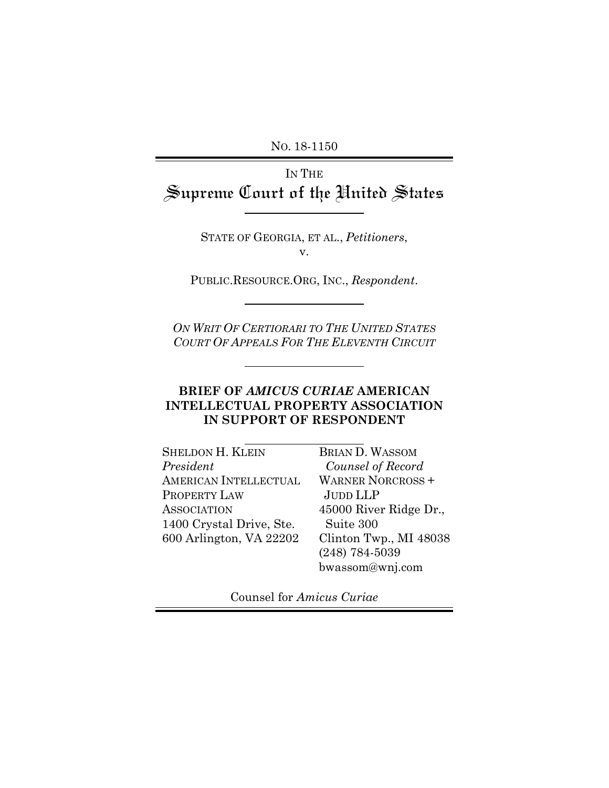NO. 18-1150

# IN THE Supreme Court of the United States

STATE OF GEORGIA, ET AL., *Petitioners*, v.

PUBLIC.RESOURCE.ORG, INC., *Respondent*.

*ON WRIT OF CERTIORARI TO THE UNITED STATES COURT OF APPEALS FOR THE ELEVENTH CIRCUIT*

### **BRIEF OF** *AMICUS CURIAE* **AMERICAN INTELLECTUAL PROPERTY ASSOCIATION IN SUPPORT OF RESPONDENT**

| <b>SHELDON H. KLEIN</b>  | <b>BRIAN D. WASSOM</b>   |
|--------------------------|--------------------------|
| President                | Counsel of Record        |
| AMERICAN INTELLECTUAL    | <b>WARNER NORCROSS +</b> |
| PROPERTY LAW             | JUDD LLP                 |
| <b>ASSOCIATION</b>       | 45000 River Ridge Dr.,   |
| 1400 Crystal Drive, Ste. | Suite 300                |
| 600 Arlington, VA 22202  | Clinton Twp., MI 48038   |
|                          | $(248) 784 - 5039$       |
|                          | bwassom@wnj.com          |

Counsel for *Amicus Curiae*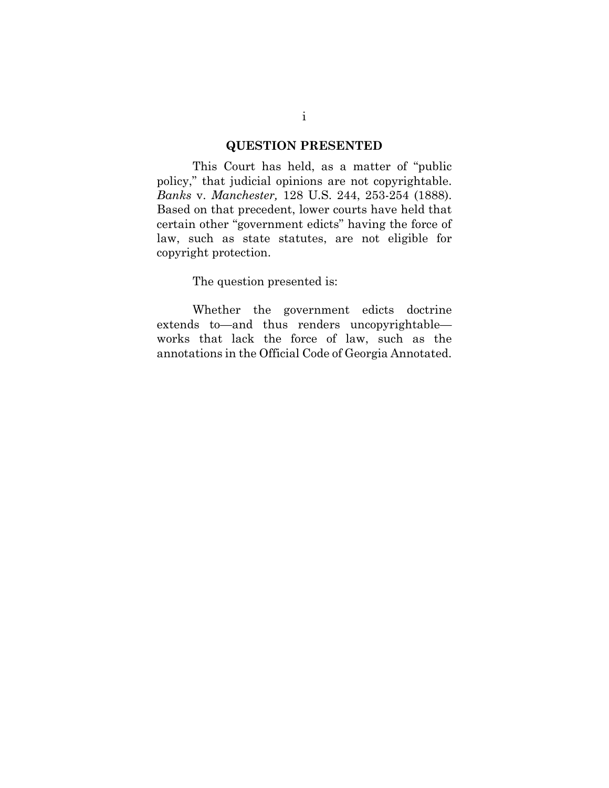#### **QUESTION PRESENTED**

This Court has held, as a matter of "public policy," that judicial opinions are not copyrightable. *Banks* v. *Manchester,* 128 U.S. 244, 253-254 (1888). Based on that precedent, lower courts have held that certain other "government edicts" having the force of law, such as state statutes, are not eligible for copyright protection.

The question presented is:

Whether the government edicts doctrine extends to—and thus renders uncopyrightable works that lack the force of law, such as the annotations in the Official Code of Georgia Annotated.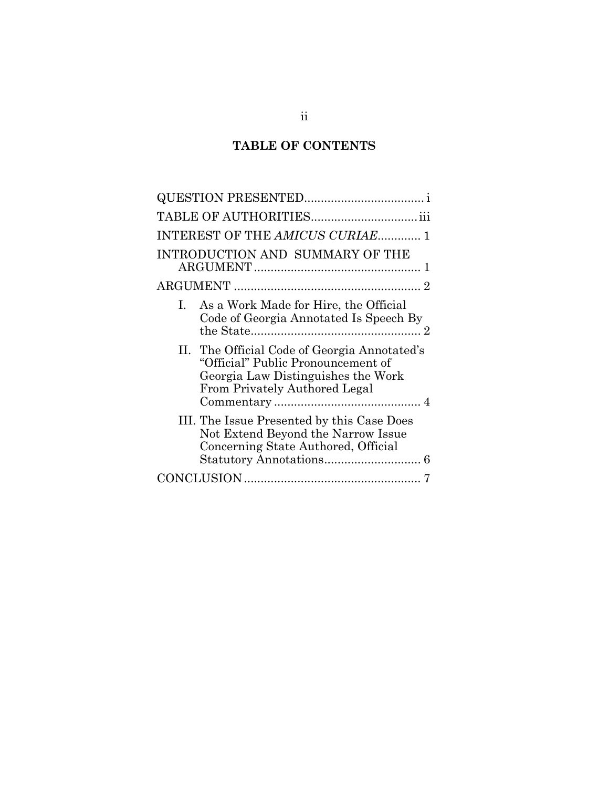# **TABLE OF CONTENTS**

| INTEREST OF THE AMICUS CURIAE 1                                                                                                                           |
|-----------------------------------------------------------------------------------------------------------------------------------------------------------|
| INTRODUCTION AND SUMMARY OF THE                                                                                                                           |
|                                                                                                                                                           |
| As a Work Made for Hire, the Official<br>$\mathbf{L}$<br>Code of Georgia Annotated Is Speech By                                                           |
| II. The Official Code of Georgia Annotated's<br>"Official" Public Pronouncement of<br>Georgia Law Distinguishes the Work<br>From Privately Authored Legal |
| III. The Issue Presented by this Case Does<br>Not Extend Beyond the Narrow Issue<br>Concerning State Authored, Official                                   |
|                                                                                                                                                           |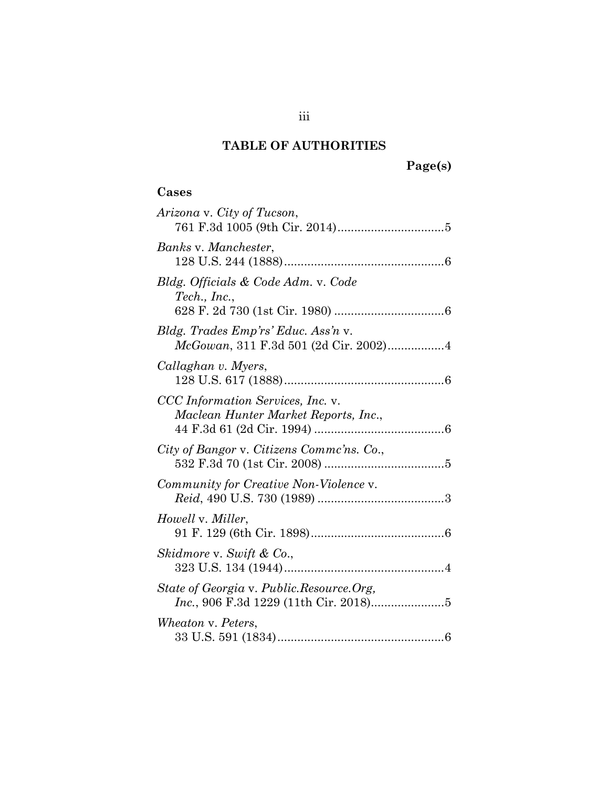# **TABLE OF AUTHORITIES**

# **Page(s)**

## **Cases**

| Arizona v. City of Tucson,                                                   |
|------------------------------------------------------------------------------|
| Banks v. Manchester,                                                         |
| Bldg. Officials & Code Adm. v. Code<br>$\mathit{Techn.}\; Inc.,$             |
| Bldg. Trades Emp'rs' Educ. Ass'n v.<br>McGowan, 311 F.3d 501 (2d Cir. 2002)4 |
| Callaghan v. Myers,                                                          |
| CCC Information Services, Inc. v.<br>Maclean Hunter Market Reports, Inc.,    |
| City of Bangor v. Citizens Commc'ns. Co.,                                    |
| Community for Creative Non-Violence v.                                       |
| Howell v. Miller,                                                            |
| Skidmore v. Swift & Co.,                                                     |
| State of Georgia v. Public.Resource.Org,                                     |
| Wheaton v. Peters,                                                           |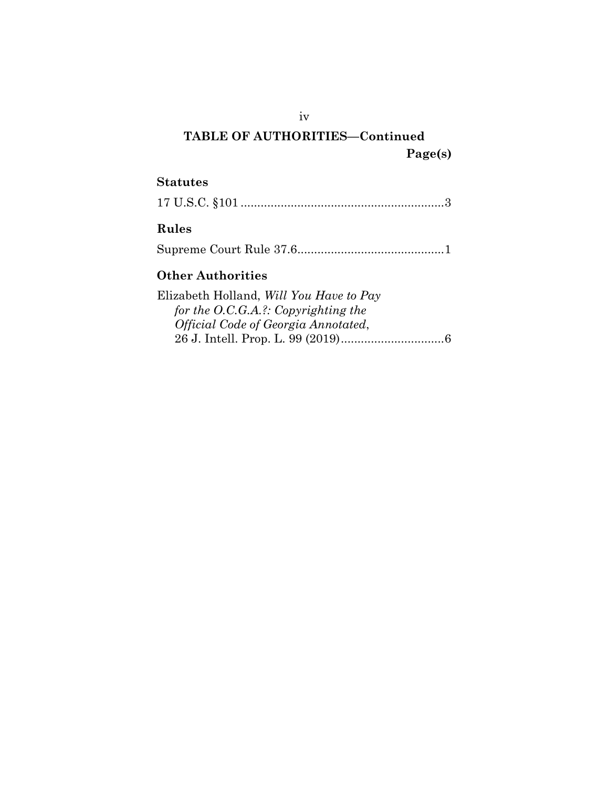# **TABLE OF AUTHORITIES—Continued Page(s)**

### **Statutes**

|--|--|--|

## **Rules**

Supreme Court Rule 37.6 ............................................ 1

## **Other Authorities**

Elizabeth Holland, *Will You Have to Pay for the O.C.G.A.?: Copyrighting the Official Code of Georgia Annotated*, 26 J. Intell. Prop. L. 99 (2019) ............................... 6

iv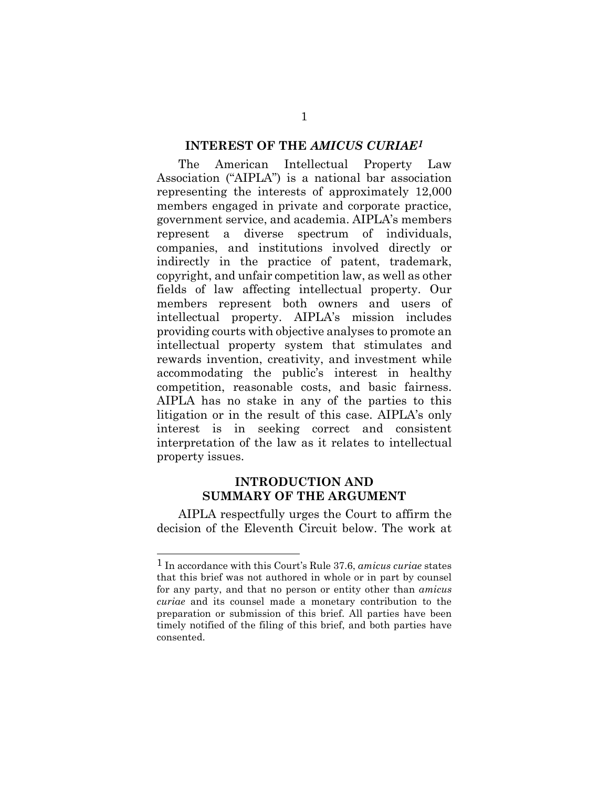#### **INTEREST OF THE** *AMICUS CURIAE1*

The American Intellectual Property Law Association ("AIPLA") is a national bar association representing the interests of approximately 12,000 members engaged in private and corporate practice, government service, and academia. AIPLA's members represent a diverse spectrum of individuals, companies, and institutions involved directly or indirectly in the practice of patent, trademark, copyright, and unfair competition law, as well as other fields of law affecting intellectual property. Our members represent both owners and users of intellectual property. AIPLA's mission includes providing courts with objective analyses to promote an intellectual property system that stimulates and rewards invention, creativity, and investment while accommodating the public's interest in healthy competition, reasonable costs, and basic fairness. AIPLA has no stake in any of the parties to this litigation or in the result of this case. AIPLA's only interest is in seeking correct and consistent interpretation of the law as it relates to intellectual property issues.

#### **INTRODUCTION AND SUMMARY OF THE ARGUMENT**

AIPLA respectfully urges the Court to affirm the decision of the Eleventh Circuit below. The work at

<sup>1</sup> In accordance with this Court's Rule 37.6, *amicus curiae* states that this brief was not authored in whole or in part by counsel for any party, and that no person or entity other than *amicus curiae* and its counsel made a monetary contribution to the preparation or submission of this brief. All parties have been timely notified of the filing of this brief, and both parties have consented.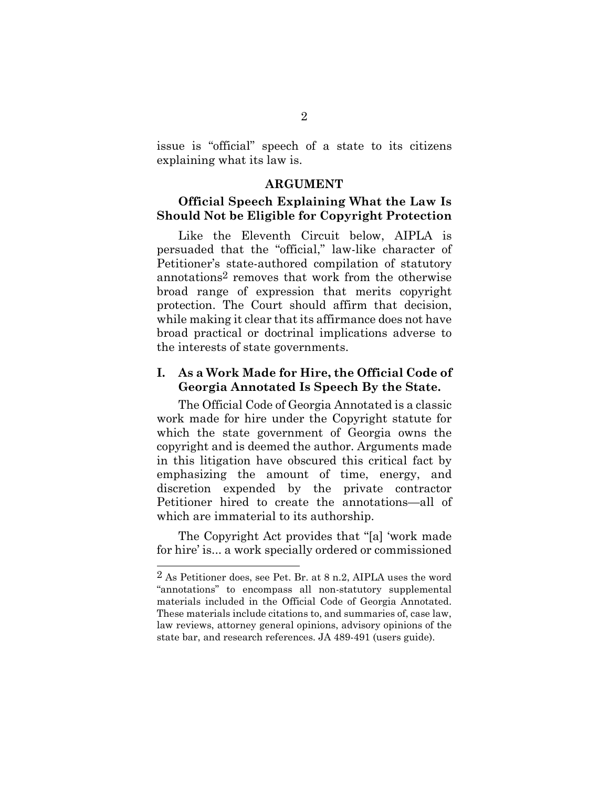issue is "official" speech of a state to its citizens explaining what its law is.

#### **ARGUMENT**

#### **Official Speech Explaining What the Law Is Should Not be Eligible for Copyright Protection**

Like the Eleventh Circuit below, AIPLA is persuaded that the "official," law-like character of Petitioner's state-authored compilation of statutory annotations2 removes that work from the otherwise broad range of expression that merits copyright protection. The Court should affirm that decision, while making it clear that its affirmance does not have broad practical or doctrinal implications adverse to the interests of state governments.

#### **I. As a Work Made for Hire, the Official Code of Georgia Annotated Is Speech By the State.**

The Official Code of Georgia Annotated is a classic work made for hire under the Copyright statute for which the state government of Georgia owns the copyright and is deemed the author. Arguments made in this litigation have obscured this critical fact by emphasizing the amount of time, energy, and discretion expended by the private contractor Petitioner hired to create the annotations—all of which are immaterial to its authorship.

The Copyright Act provides that "[a] 'work made for hire' is... a work specially ordered or commissioned

<sup>2</sup> As Petitioner does, see Pet. Br. at 8 n.2, AIPLA uses the word "annotations" to encompass all non-statutory supplemental materials included in the Official Code of Georgia Annotated. These materials include citations to, and summaries of, case law, law reviews, attorney general opinions, advisory opinions of the state bar, and research references. JA 489-491 (users guide).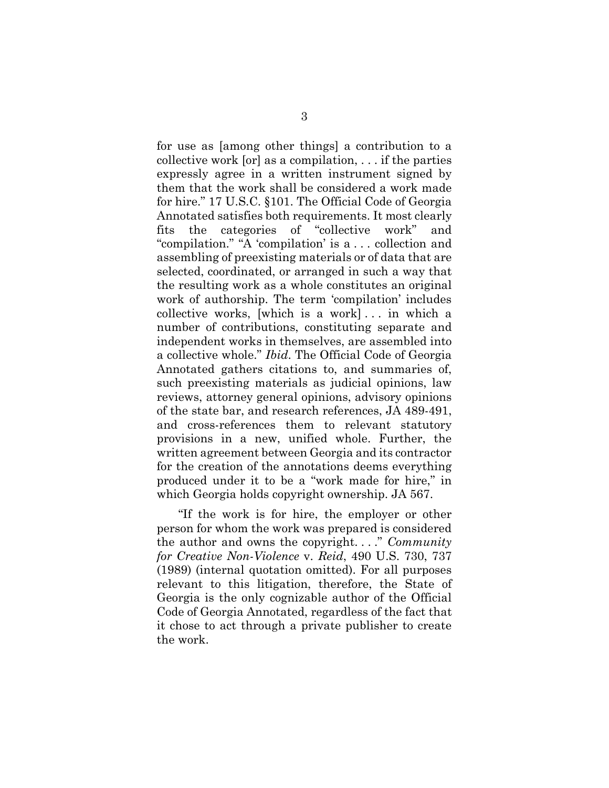for use as [among other things] a contribution to a collective work [or] as a compilation, . . . if the parties expressly agree in a written instrument signed by them that the work shall be considered a work made for hire." 17 U.S.C. §101. The Official Code of Georgia Annotated satisfies both requirements. It most clearly fits the categories of "collective work" and "compilation." "A 'compilation' is a . . . collection and assembling of preexisting materials or of data that are selected, coordinated, or arranged in such a way that the resulting work as a whole constitutes an original work of authorship. The term 'compilation' includes collective works, [which is a work] . . . in which a number of contributions, constituting separate and independent works in themselves, are assembled into a collective whole." *Ibid*. The Official Code of Georgia Annotated gathers citations to, and summaries of, such preexisting materials as judicial opinions, law reviews, attorney general opinions, advisory opinions of the state bar, and research references, JA 489-491, and cross-references them to relevant statutory provisions in a new, unified whole. Further, the written agreement between Georgia and its contractor for the creation of the annotations deems everything produced under it to be a "work made for hire," in which Georgia holds copyright ownership. JA 567.

"If the work is for hire, the employer or other person for whom the work was prepared is considered the author and owns the copyright. . . ." *Community for Creative Non-Violence* v. *Reid*, 490 U.S. 730, 737 (1989) (internal quotation omitted). For all purposes relevant to this litigation, therefore, the State of Georgia is the only cognizable author of the Official Code of Georgia Annotated, regardless of the fact that it chose to act through a private publisher to create the work.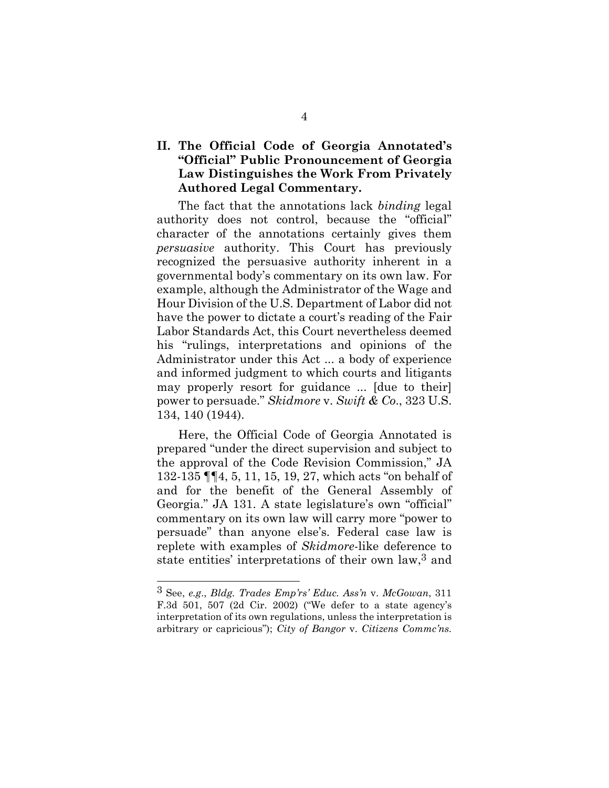### **II. The Official Code of Georgia Annotated's "Official" Public Pronouncement of Georgia Law Distinguishes the Work From Privately Authored Legal Commentary.**

The fact that the annotations lack *binding* legal authority does not control, because the "official" character of the annotations certainly gives them *persuasive* authority. This Court has previously recognized the persuasive authority inherent in a governmental body's commentary on its own law. For example, although the Administrator of the Wage and Hour Division of the U.S. Department of Labor did not have the power to dictate a court's reading of the Fair Labor Standards Act, this Court nevertheless deemed his "rulings, interpretations and opinions of the Administrator under this Act ... a body of experience and informed judgment to which courts and litigants may properly resort for guidance ... [due to their] power to persuade." *Skidmore* v. *Swift & Co*., 323 U.S. 134, 140 (1944).

Here, the Official Code of Georgia Annotated is prepared "under the direct supervision and subject to the approval of the Code Revision Commission," JA 132-135 ¶¶4, 5, 11, 15, 19, 27, which acts "on behalf of and for the benefit of the General Assembly of Georgia." JA 131. A state legislature's own "official" commentary on its own law will carry more "power to persuade" than anyone else's. Federal case law is replete with examples of *Skidmore*-like deference to state entities' interpretations of their own law,3 and

<sup>3</sup> See, *e.g*., *Bldg. Trades Emp'rs' Educ. Ass'n* v. *McGowan*, 311 F.3d 501, 507 (2d Cir. 2002) ("We defer to a state agency's interpretation of its own regulations, unless the interpretation is arbitrary or capricious"); *City of Bangor* v. *Citizens Commc'ns.*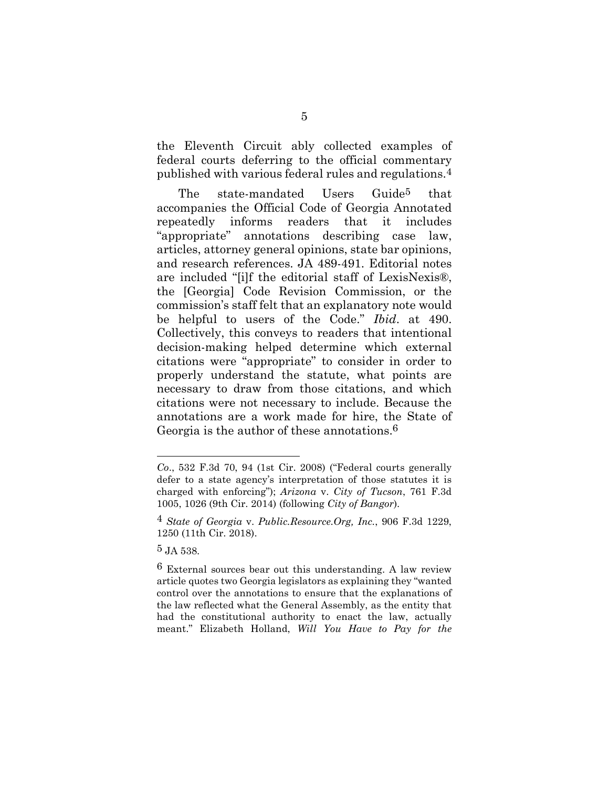the Eleventh Circuit ably collected examples of federal courts deferring to the official commentary published with various federal rules and regulations.4

The state-mandated Users Guide<sup>5</sup> that accompanies the Official Code of Georgia Annotated repeatedly informs readers that it includes "appropriate" annotations describing case law, articles, attorney general opinions, state bar opinions, and research references. JA 489-491. Editorial notes are included "[i]f the editorial staff of LexisNexis®, the [Georgia] Code Revision Commission, or the commission's staff felt that an explanatory note would be helpful to users of the Code." *Ibid*. at 490. Collectively, this conveys to readers that intentional decision-making helped determine which external citations were "appropriate" to consider in order to properly understand the statute, what points are necessary to draw from those citations, and which citations were not necessary to include. Because the annotations are a work made for hire, the State of Georgia is the author of these annotations.<sup>6</sup>

*Co*., 532 F.3d 70, 94 (1st Cir. 2008) ("Federal courts generally defer to a state agency's interpretation of those statutes it is charged with enforcing"); *Arizona* v. *City of Tucson*, 761 F.3d 1005, 1026 (9th Cir. 2014) (following *City of Bangor*).

<sup>4</sup> *State of Georgia* v. *Public.Resource.Org, Inc.*, 906 F.3d 1229, 1250 (11th Cir. 2018).

<sup>5</sup> JA 538.

<sup>6</sup> External sources bear out this understanding. A law review article quotes two Georgia legislators as explaining they "wanted control over the annotations to ensure that the explanations of the law reflected what the General Assembly, as the entity that had the constitutional authority to enact the law, actually meant." Elizabeth Holland, *Will You Have to Pay for the*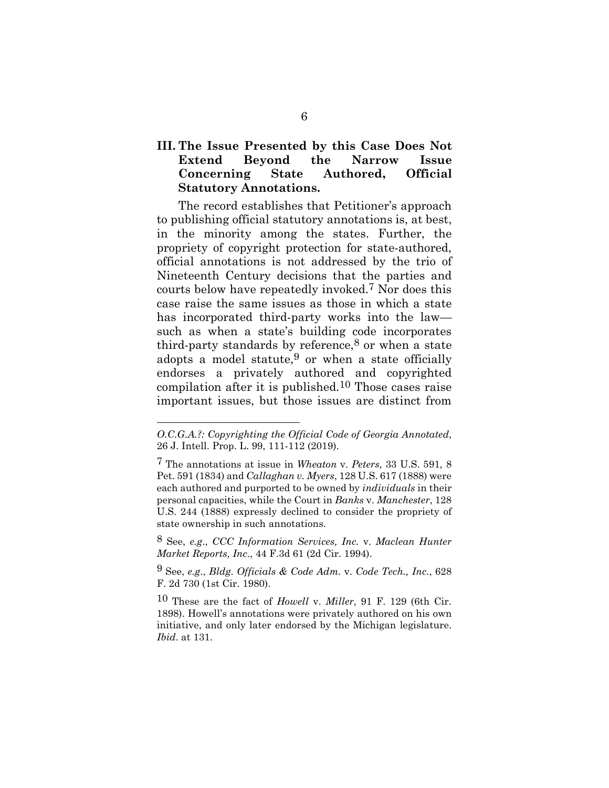### **III. The Issue Presented by this Case Does Not Extend Beyond the Narrow Issue Concerning State Authored, Official Statutory Annotations.**

The record establishes that Petitioner's approach to publishing official statutory annotations is, at best, in the minority among the states. Further, the propriety of copyright protection for state-authored, official annotations is not addressed by the trio of Nineteenth Century decisions that the parties and courts below have repeatedly invoked.7 Nor does this case raise the same issues as those in which a state has incorporated third-party works into the law such as when a state's building code incorporates third-party standards by reference, $8$  or when a state adopts a model statute,  $9$  or when a state officially endorses a privately authored and copyrighted compilation after it is published.10 Those cases raise important issues, but those issues are distinct from

*O.C.G.A.?: Copyrighting the Official Code of Georgia Annotated*, 26 J. Intell. Prop. L. 99, 111-112 (2019).

<sup>7</sup> The annotations at issue in *Wheaton* v. *Peters*, 33 U.S. 591, 8 Pet. 591 (1834) and *Callaghan v. Myers*, 128 U.S. 617 (1888) were each authored and purported to be owned by *individuals* in their personal capacities, while the Court in *Banks* v. *Manchester*, 128 U.S. 244 (1888) expressly declined to consider the propriety of state ownership in such annotations.

<sup>8</sup> See, *e.g*., *CCC Information Services, Inc.* v. *Maclean Hunter Market Reports, Inc*., 44 F.3d 61 (2d Cir. 1994).

<sup>9</sup> See, *e.g*., *Bldg. Officials & Code Adm.* v. *Code Tech., Inc.*, 628 F. 2d 730 (1st Cir. 1980).

<sup>10</sup> These are the fact of *Howell* v. *Miller*, 91 F. 129 (6th Cir. 1898). Howell's annotations were privately authored on his own initiative, and only later endorsed by the Michigan legislature. *Ibid*. at 131.